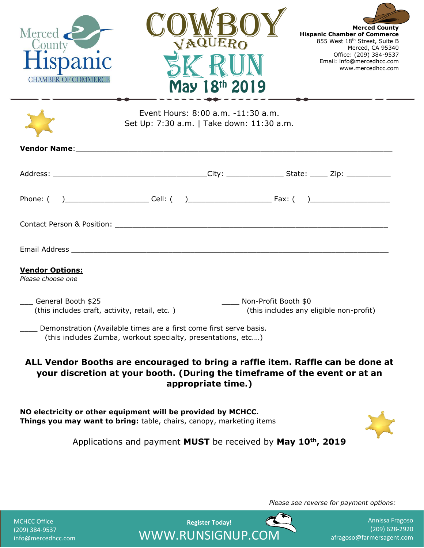| Merced<br>County<br>Hispanic<br><b>CHAMBER OF COMMERCE</b>                                                                             | VAQUERO                                                                                                                            | May 18th 2019 | <b>Merced County</b><br><b>Hispanic Chamber of Commerce</b><br>855 West 18th Street, Suite B<br>Merced, CA 95340<br>Office: (209) 384-9537<br>Email: info@mercedhcc.com<br>www.mercedhcc.com |  |
|----------------------------------------------------------------------------------------------------------------------------------------|------------------------------------------------------------------------------------------------------------------------------------|---------------|----------------------------------------------------------------------------------------------------------------------------------------------------------------------------------------------|--|
|                                                                                                                                        | Event Hours: 8:00 a.m. -11:30 a.m.<br>Set Up: 7:30 a.m.   Take down: 11:30 a.m.                                                    |               |                                                                                                                                                                                              |  |
|                                                                                                                                        |                                                                                                                                    |               |                                                                                                                                                                                              |  |
|                                                                                                                                        |                                                                                                                                    |               |                                                                                                                                                                                              |  |
|                                                                                                                                        |                                                                                                                                    |               |                                                                                                                                                                                              |  |
|                                                                                                                                        |                                                                                                                                    |               |                                                                                                                                                                                              |  |
|                                                                                                                                        |                                                                                                                                    |               |                                                                                                                                                                                              |  |
| <b>Vendor Options:</b><br>Please choose one                                                                                            |                                                                                                                                    |               |                                                                                                                                                                                              |  |
| General Booth \$25<br>Non-Profit Booth \$0<br>(this includes craft, activity, retail, etc.)<br>(this includes any eligible non-profit) |                                                                                                                                    |               |                                                                                                                                                                                              |  |
|                                                                                                                                        | Demonstration (Available times are a first come first serve basis.<br>(this includes Zumba, workout specialty, presentations, etc) |               |                                                                                                                                                                                              |  |
|                                                                                                                                        | your discretion at your booth. (During the timeframe of the event or at an<br>appropriate time.)                                   |               | ALL Vendor Booths are encouraged to bring a raffle item. Raffle can be done at                                                                                                               |  |
| NO electricity or other equipment will be provided by MCHCC.<br>Things you may want to bring: table, chairs, canopy, marketing items   |                                                                                                                                    |               |                                                                                                                                                                                              |  |
| Applications and payment MUST be received by May 10 <sup>th</sup> , 2019                                                               |                                                                                                                                    |               |                                                                                                                                                                                              |  |
|                                                                                                                                        |                                                                                                                                    |               |                                                                                                                                                                                              |  |
|                                                                                                                                        |                                                                                                                                    |               | Please see reverse for payment options:                                                                                                                                                      |  |

**Register Today!**  WWW.RUNSIGNUP.COM

 $\mathbb{C}$ 

| <b>MCHCC Office</b> |
|---------------------|
| (209) 384-9537      |
| info@mercedhcc.com  |